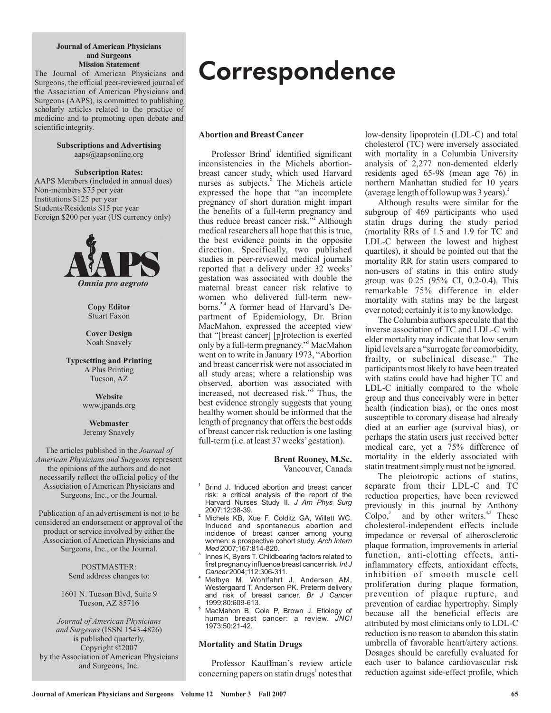#### **Journal of American Physicians and Surgeons Mission Statement**

The Journal of American Physicians and Surgeons, the official peer-reviewed journal of the Association of American Physicians and Surgeons (AAPS), is committed to publishing scholarly articles related to the practice of medicine and to promoting open debate and scientific integrity.

> **Subscriptions and Advertising** aaps@aapsonline.org

**Subscription Rates:** AAPS Members (included in annual dues) Non-members \$75 per year Institutions \$125 per year Students/Residents \$15 per year Foreign \$200 per year (US currency only)



**Copy Editor** Stuart Faxon

**Cover Design** Noah Snavely

**Typesetting and Printing** A Plus Printing Tucson, AZ

> www.jpands.org **Website**

**Webmaster** Jeremy Snavely

Surgeons, Inc., or the Journal. The articles published in the *Journal of* **American Physicians and Surgeons represent** the opinions of the authors and do not necessarily reflect the official policy of the Association of American Physicians and

Surgeons, Inc., or the Journal. Publication of an advertisement is not to be considered an endorsement or approval of the product or service involved by either the Association of American Physicians and

> POSTMASTER: Send address changes to:

1601 N. Tucson Blvd, Suite 9 Tucson, AZ 85716

(ISSN 1543-4826) *and Surgeons* is published quarterly. Copyright ©2007 by the Association of American Physicians and Surgeons, Inc. *Journal of American Physicians*

# **Correspondence**

# **Abortion and Breast Cancer**

Professor Brind<sup>1</sup> identified significant inconsistencies in the Michels abortionbreast cancer study, which used Harvard nurses as subjects.<sup>2</sup> The Michels article expressed the hope that "an incomplete" pregnancy of short duration might impart the benefits of a full-term pregnancy and thus reduce breast cancer risk." Although **2** medical researchers all hope that this is true, the best evidence points in the opposite direction. Specifically, two published studies in peer-reviewed medical journals reported that a delivery under 32 weeks' gestation was associated with double the maternal breast cancer risk relative to women who delivered full-term newborns.<sup>3,4</sup> A former head of Harvard's Department of Epidemiology, Dr. Brian MacMahon, expressed the accepted view that "[breast cancer] [p]rotection is exerted only by a full-term pregnancy." MacMahon **5** went on to write in January 1973, "Abortion and breast cancer risk were not associated in all study areas; where a relationship was observed, abortion was associated with increased, not decreased risk."<sup>5</sup> Thus, the best evidence strongly suggests that young healthy women should be informed that the length of pregnancy that offers the best odds of breast cancer risk reduction is one lasting full-term (i.e. at least 37 weeks'gestation).

> **Brent Rooney, M.Sc.** Vancouver, Canada

- **1** Brind J. Induced abortion and breast cancer risk: a critical analysis of the report of the Harvard Nurses Study II. *J Am Phys Surg* 2007;12:38-39.
- **2** Michels KB, Xue F, Colditz GA, Willett WC. Induced and spontaneous abortion and incidence of breast cancer among young women: a prospective cohort study. *Arch Intern* 2007;167:814-820. *Med*
- **3** Innes K, Byers T. Childbearing factors related to first pregnancy influence breast cancer risk. *Int J* 2004;112:306-311. *Cancer*
- **4** Melbye M, Wohlfahrt J, Andersen AM, Westergaard T, Andersen PK. Preterm delivery and risk of breast cancer. *Br J Cancer* 1999;80:609-613.
- **5** MacMahon B, Cole P, Brown J. Etiology of human breast cancer: a review. *JNCI* 1973;50:21-42.

## **Mortality and Statin Drugs**

Professor Kauffman's review article concerning papers on statin drugs<sup>1</sup> notes that low-density lipoprotein (LDL-C) and total cholesterol (TC) were inversely associated with mortality in a Columbia University analysis of 2,277 non-demented elderly residents aged 65-98 (mean age 76) in northern Manhattan studied for 10 years (average length of followup was 3 years). **2**

Although results were similar for the subgroup of 469 participants who used statin drugs during the study period (mortality RRs of 1.5 and 1.9 for TC and LDL-C between the lowest and highest quartiles), it should be pointed out that the mortality RR for statin users compared to non-users of statins in this entire study group was 0.25 (95% CI, 0.2-0.4). This remarkable 75% difference in elder mortality with statins may be the largest ever noted; certainly it is to my knowledge.

The Columbia authors speculate that the inverse association of TC and LDL-C with elder mortality may indicate that low serum lipid levels are a "surrogate for comorbidity, frailty, or subclinical disease." The participants most likely to have been treated with statins could have had higher TC and LDL-C initially compared to the whole group and thus conceivably were in better health (indication bias), or the ones most susceptible to coronary disease had already died at an earlier age (survival bias), or perhaps the statin users just received better medical care, yet a 75% difference of mortality in the elderly associated with statin treatment simply must not be ignored.

The pleiotropic actions of statins, separate from their LDL-C and TC reduction properties, have been reviewed previously in this journal by Anthony Colpo, $3$  and by other writers.<sup>4,5</sup> These cholesterol-independent effects include impedance or reversal of atherosclerotic plaque formation, improvements in arterial function, anti-clotting effects, antiinflammatory effects, antioxidant effects, inhibition of smooth muscle cell proliferation during plaque formation, prevention of plaque rupture, and prevention of cardiac hypertrophy. Simply because all the beneficial effects are attributed by most clinicians only to LDL-C reduction is no reason to abandon this statin umbrella of favorable heart/artery actions. Dosages should be carefully evaluated for each user to balance cardiovascular risk reduction against side-effect profile, which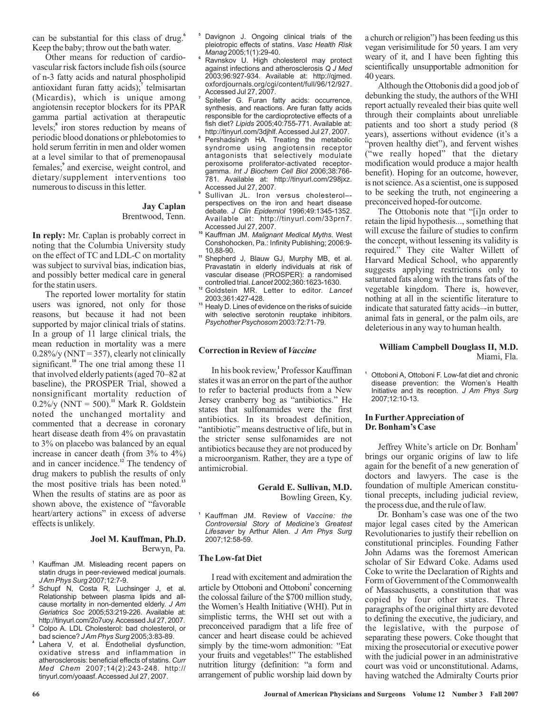can be substantial for this class of drug.**<sup>6</sup>** Keep the baby; throw out the bath water.

Other means for reduction of cardiovascular risk factors include fish oils (source of n-3 fatty acids and natural phospholipid antioxidant furan fatty acids);<sup>7</sup> telmisartan (Micardis), which is unique among angiotensin receptor blockers for its PPAR gamma partial activation at therapeutic levels;<sup>8</sup> iron stores reduction by means of periodic blood donations or phlebotomies to hold serum ferritin in men and older women at a level similar to that of premenopausal females;<sup>9</sup> and exercise, weight control, and dietary/supplement interventions too numerous to discuss in this letter.

## Brentwood, Tenn. **Jay Caplan**

In reply: Mr. Caplan is probably correct in noting that the Columbia University study on the effect of TC and LDL-C on mortality was subject to survival bias, indication bias, and possibly better medical care in general for the statin users.

The reported lower mortality for statin users was ignored, not only for those reasons, but because it had not been supported by major clinical trials of statins. In a group of 11 large clinical trials, the mean reduction in mortality was a mere  $0.28\%$ /y (NNT = 357), clearly not clinically significant.<sup>10</sup> The one trial among these 11 that involved elderly patients (aged 70–82 at baseline), the PROSPER Trial, showed a nonsignificant mortality reduction of  $0.2\%$ /y (NNT = 500).<sup>11</sup> Mark R. Goldstein noted the unchanged mortality and commented that a decrease in coronary heart disease death from 4% on pravastatin to 3% on placebo was balanced by an equal increase in cancer death (from 3% to 4%) and in cancer incidence.<sup>12</sup> The tendency of drug makers to publish the results of only the most positive trials has been noted.<sup>13</sup> When the results of statins are as poor as shown above, the existence of "favorable heart/artery actions" in excess of adverse effects is unlikely.

#### Berwyn, Pa. **Joel M. Kauffman, Ph.D.**

- **1** Kauffman JM. Misleading recent papers on statin drugs in peer-reviewed medical journals. 2007;12:7-9. *JAm Phys Surg*
- **2** Schupf N, Costa R, Luchsinger J, et al. Relationship between plasma lipids and allcause mortality in non-demented elderly. *J Am* 2005;53:219-226. Available at: *Geriatrics Soc* http://tinyurl.com/2o7uoy.Accessed Jul 27, 2007.
- **3** Colpo A. LDL Cholesterol: bad cholesterol, or bad science? *J Am Phys Surg* 2005;3:83-89.
- **4** Lahera V, et al. Endothelial dysfunction, oxidative stress and inflammation in atherosclerosis: beneficial effects of statins. *Curr* 2007;14(2):243-248. http:// *Med Chem* tinyurl.com/yoaasf.Accessed Jul 27, 2007.
- **5** Davignon J. Ongoing clinical trials of the pleiotropic effects of statins. *Vasc Health Risk* 2005;1(1):29-40. *Manag*
- **6** Ravnskov U. High cholesterol may protect against infections and atherosclerosis *Q J Med* 2003;96:927-934. Available at: http://qjmed. oxfordjournals.org/cgi/content/full/96/12/927. Accessed Jul 27, 2007.
- **7** Spiteller G. Furan fatty acids: occurrence, synthesis, and reactions. Are furan fatty acids responsible for the cardioprotective effects of a fish diet? 2005;40:755-771. Available at: *Lipids* http://tinyurl.com/3djhlf.Accessed Jul 27, 2007.
- **8** Pershadsingh HA. Treating the metabolic syndrome using angiotensin receptor antagonists that selectively modulate peroxisome proliferator-activated receptorgamma. Int J Biochem Cell Biol 2006;38:766-781. Available at: http://tinyurl.com/298jxz. Accessed Jul 27, 2007. *Int J Biochem Cell Biol*
- **9** Sullivan JL. Iron versus cholesterol– perspectives on the iron and heart disease debate. J Clin Epidemiol 1996;49:1345-1352. Available at: http://tinyurl.com/33prn7. Accessed Jul 27, 2007.
- <sup>10</sup> Kauffman JM. Malignant Medical Myths. West Conshohocken, Pa.: Infinity Publishing; 2006:9- 10,88-90.
- **11** Shepherd J, Blauw GJ, Murphy MB, et al. Pravastatin in elderly individuals at risk of vascular disease (PROSPER): a randomised controlled trial. 2002;360:1623-1630. *Lancet*
- **12** Goldstein MR. Letter to editor. *Lancet* 2003;361:427-428.
- **13** Healy D. Lines of evidence on the risks of suicide with selective serotonin reuptake inhibitors. 2003:72:71-79. *Psychother Psychosom*

# **Correction in Review of** *Vaccine*

In his book review, Professor Kauffman **1** states it was an error on the part of the author to refer to bacterial products from a New Jersey cranberry bog as "antibiotics." He states that sulfonamides were the first antibiotics. In its broadest definition, "antibiotic" means destructive of life, but in the stricter sense sulfonamides are not antibiotics because they are not produced by a microorganism. Rather, they are a type of antimicrobial.

## **Gerald E. Sullivan, M.D.** Bowling Green, Ky.

**1** Kauffman JM. Review of *Vaccine: the* by Arthur Allen. *Lifesaver J Am Phys Surg* 2007;12:58-59. *Controversial Story of Medicine's Greatest*

#### **The Low-fat Diet**

I read with excitement and admiration the article by Ottoboni and Ottoboni<sup>1</sup> concerning the colossal failure of the \$700 million study, the Women's Health Initiative (WHI). Put in simplistic terms, the WHI set out with a preconceived paradigm that a life free of cancer and heart disease could be achieved simply by the time-worn admonition: "Eat your fruits and vegetables!" The established nutrition liturgy (definition: "a form and arrangement of public worship laid down by

a church or religion") has been feeding us this vegan verisimilitude for 50 years. I am very weary of it, and I have been fighting this scientifically unsupportable admonition for 40 years.

Although the Ottobonis did a good job of debunking the study, the authors of the WHI report actually revealed their bias quite well through their complaints about unreliable patients and too short a study period (8 years), assertions without evidence (it's a "proven healthy diet"), and fervent wishes ("we really hoped" that the dietary modification would produce a major health benefit). Hoping for an outcome, however, is not science.As a scientist, one is supposed to be seeking the truth, not engineering a preconceived hoped-for outcome.

The Ottobonis note that "[i]n order to retain the lipid hypothesis..., something that will excuse the failure of studies to confirm the concept, without lessening its validity is required." They cite Walter Willett of Harvard Medical School, who apparently suggests applying restrictions only to saturated fats along with the trans fats of the vegetable kingdom. There is, however, nothing at all in the scientific literature to indicate that saturated fatty acids–-in butter, animal fats in general, or the palm oils, are deleterious in any way to human health.

## Miami, Fla. **William Campbell Douglass II, M.D.**

Ottoboni A, Ottoboni F. Low-fat diet and chronic disease prevention: the Women's Health Initiative and its reception. *J Am Phys Surg* 2007;12:10-13.

#### **In FurtherAppreciation of Dr. Bonham's Case**

**1**

Jeffrey White's article on Dr. Bonham **1** brings our organic origins of law to life again for the benefit of a new generation of doctors and lawyers. The case is the foundation of multiple American constitutional precepts, including judicial review, the process due, and the rule of law.

Dr. Bonham's case was one of the two major legal cases cited by the American Revolutionaries to justify their rebellion on constitutional principles. Founding Father John Adams was the foremost American scholar of Sir Edward Coke. Adams used Coke to write the Declaration of Rights and Form of Government of the Commonwealth of Massachusetts, a constitution that was copied by four other states. Three paragraphs of the original thirty are devoted to defining the executive, the judiciary, and the legislative, with the purpose of separating these powers. Coke thought that mixing the prosecutorial or executive power with the judicial power in an administrative court was void or unconstitutional. Adams, having watched the Admiralty Courts prior